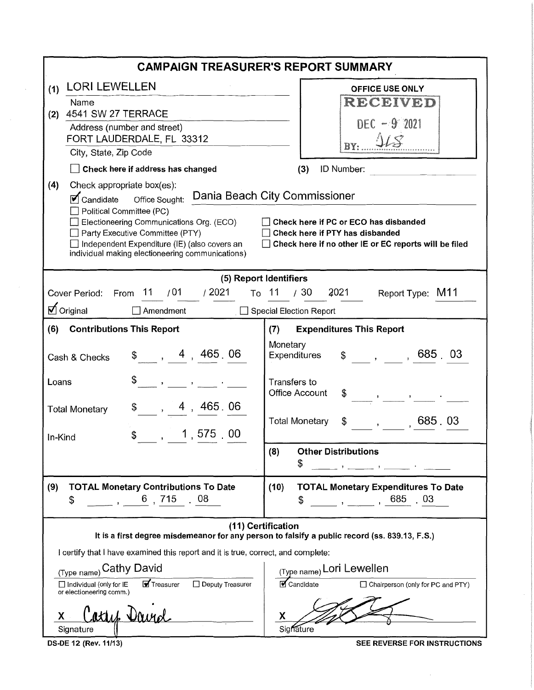|                                                                                                                                                                                                                                                                                                                                                                                                                                                                                                                             | <b>CAMPAIGN TREASURER'S REPORT SUMMARY</b>                                                                                                                                                                                                                                                                                                                                                                                                                                                                                                                                                                                                                                                                                                                                  |  |  |  |  |
|-----------------------------------------------------------------------------------------------------------------------------------------------------------------------------------------------------------------------------------------------------------------------------------------------------------------------------------------------------------------------------------------------------------------------------------------------------------------------------------------------------------------------------|-----------------------------------------------------------------------------------------------------------------------------------------------------------------------------------------------------------------------------------------------------------------------------------------------------------------------------------------------------------------------------------------------------------------------------------------------------------------------------------------------------------------------------------------------------------------------------------------------------------------------------------------------------------------------------------------------------------------------------------------------------------------------------|--|--|--|--|
| <b>LORI LEWELLEN</b><br>(1)<br>Name<br>4541 SW 27 TERRACE<br>(2)<br>Address (number and street)<br>FORT LAUDERDALE, FL 33312<br>City, State, Zip Code<br>Check here if address has changed<br>(4)<br>Check appropriate box(es):<br>Office Sought: Dania Beach City Commissioner<br>$\triangledown$ Candidate<br>Political Committee (PC)<br>Electioneering Communications Org. (ECO)<br>Party Executive Committee (PTY)<br>Independent Expenditure (IE) (also covers an<br>individual making electioneering communications) | <b>OFFICE USE ONLY</b><br>RECEIVED<br>$DEC - 9' 2021$<br>113<br>BY:<br>(3)<br>ID Number:<br>Check here if PC or ECO has disbanded<br>Check here if PTY has disbanded<br>Check here if no other IE or EC reports will be filed                                                                                                                                                                                                                                                                                                                                                                                                                                                                                                                                               |  |  |  |  |
| Cover Period: From 11 / 01<br>/2021<br>Ø Original<br>$\Box$ Amendment<br><b>Contributions This Report</b><br>(6)<br>\$, 4, 465, 06<br>Cash & Checks<br>Loans<br>, 4, 465.06<br>\$<br><b>Total Monetary</b><br>1,575,00<br>\$<br>In-Kind                                                                                                                                                                                                                                                                                     | (5) Report Identifiers<br>/30<br>2021<br>To 11<br>Report Type: M11<br>□ Special Election Report<br><b>Expenditures This Report</b><br>(7)<br>Monetary<br>$$ ,\qquad ,\qquad ,\,685\ ,\,03$<br><b>Expenditures</b><br>Transfers to<br><b>Office Account</b><br>$\frac{1}{2}$ $\frac{1}{2}$ $\frac{1}{2}$ $\frac{1}{2}$ $\frac{1}{2}$ $\frac{1}{2}$ $\frac{1}{2}$ $\frac{1}{2}$ $\frac{1}{2}$ $\frac{1}{2}$ $\frac{1}{2}$ $\frac{1}{2}$ $\frac{1}{2}$ $\frac{1}{2}$ $\frac{1}{2}$ $\frac{1}{2}$ $\frac{1}{2}$ $\frac{1}{2}$ $\frac{1}{2}$ $\frac{1}{2}$ $\frac{1}{2}$ $\frac{1}{2}$<br>685.03<br><b>Total Monetary</b><br><b>Other Distributions</b><br>(8)                                                                                                                   |  |  |  |  |
| <b>TOTAL Monetary Contributions To Date</b><br>(9)<br>6 715 08<br>\$<br>I certify that I have examined this report and it is true, correct, and complete:<br>(Type name) Cathy David<br>Treasurer<br>Deputy Treasurer<br>$\Box$ Individual (only for IE<br>or electioneering comm.)<br>athe Day<br>X<br>Signature                                                                                                                                                                                                           | \$<br>$\mathbf{y} = \left[\begin{array}{cccccccccc} \mathbf{y} & \mathbf{y} & \mathbf{y} & \mathbf{y} & \mathbf{y} & \mathbf{y} & \mathbf{y} & \mathbf{y} & \mathbf{y} & \mathbf{y} & \mathbf{y} & \mathbf{y} & \mathbf{y} & \mathbf{y} & \mathbf{y} & \mathbf{y} & \mathbf{y} & \mathbf{y} & \mathbf{y} & \mathbf{y} & \mathbf{y} & \mathbf{y} & \mathbf{y} & \mathbf{y} & \mathbf{y} & \mathbf{y} & \mathbf{y} & \mathbf{y} & \mathbf{y}$<br><b>TOTAL Monetary Expenditures To Date</b><br>(10)<br>$\frac{1}{2}$ , $\frac{1}{2}$ , 685, 03<br>S<br>(11) Certification<br>It is a first degree misdemeanor for any person to falsify a public record (ss. 839.13, F.S.)<br>(Type name) Lori Lewellen<br>Candidate<br>□ Chairperson (only for PC and PTY)<br>х<br>Signature |  |  |  |  |

 $\sim$ 

 $\sim 10^{-1}$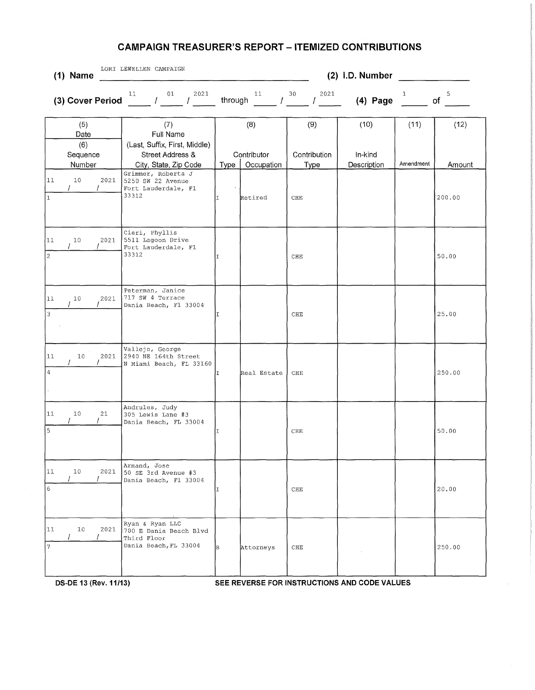| $(1)$ Name                               | LORI LEWELLEN CAMPAIGN                                                                         |         | (2) I.D. Number                  |                             |                                |                   |                |  |
|------------------------------------------|------------------------------------------------------------------------------------------------|---------|----------------------------------|-----------------------------|--------------------------------|-------------------|----------------|--|
| (3) Cover Period                         | 2021<br>11<br>01<br>$\prime$                                                                   | through | 11<br>L                          | 30<br>2021                  | $(4)$ Page                     | 1                 | 5<br>of        |  |
| (5)<br>Date<br>(6)<br>Sequence<br>Number | (7)<br>Full Name<br>(Last, Suffix, First, Middle)<br>Street Address &<br>City, State, Zip Code | Type    | (8)<br>Contributor<br>Occupation | (9)<br>Contribution<br>Type | (10)<br>In-kind<br>Description | (11)<br>Amendment | (12)<br>Amount |  |
| 11<br>10<br>2021<br>$\vert$ <sub>1</sub> | Grimmer, Roberta J<br>5250 SW 22 Avenue<br>Fort Lauderdale, Fl<br>33312                        | I       | Retired                          | ${\rm CHE}$                 |                                |                   | 200.00         |  |
| 11 <br>10<br>2021                        | Cieri, Phyllis<br>5511 Lagoon Drive<br>Fort Lauderdale, Fl<br>33312                            | II.     |                                  | CHE                         |                                |                   | 50.00          |  |
| 11<br>10<br>2021<br>$\vert$ 3            | Peterman, Janice<br>717 SW 4 Terrace<br>Dania Beach, Fl 33004                                  | II      |                                  | CHE                         |                                |                   | 25.00          |  |
| 11<br>10<br>2021<br>$\sqrt{4}$           | Vallejo, George<br>2940 NE 164th Street<br>N Miami Beach, FL 33160                             | I       | Real Estate                      | CHE                         |                                |                   | 250.00         |  |
| 11<br>10<br>21                           | Andrules, Judy<br>305 Lewis Lane #3<br>Dania Beach, FL 33004                                   | ΙI      |                                  | CHE                         |                                |                   | 50.00          |  |
| 11<br>10<br>2021<br>$6\overline{6}$      | Armand, Jose<br>50 SE 3rd Avenue #3<br>Dania Beach, Fl 33004                                   | IT.     |                                  | CHE                         |                                |                   | 20.00          |  |
| $ 11\rangle$<br>10<br>2021<br>7          | Ryan & Ryan LLC<br>700 E Dania Beach Blvd<br>Third Floor<br>Dania Beach, FL 33004              | B       | Attorneys                        | CHE                         |                                |                   | 250.00         |  |

DS-DE 13 (Rev. 11/13) **SEE REVERSE FOR INSTRUCTIONS AND CODE VALUES**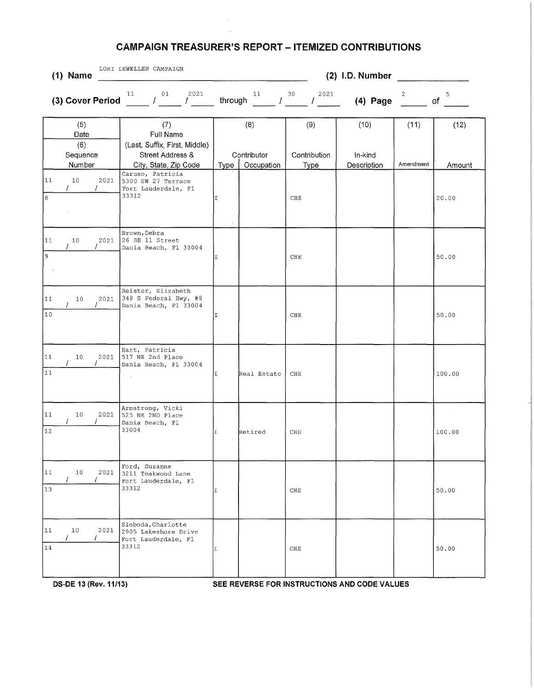$\hat{\boldsymbol{\beta}}$ 

| $(1)$ Name                                       | LORI LEWELLEN CAMPAIGN                                                                         | (2) I.D. Number |                                  |                             |                                |                   |                |
|--------------------------------------------------|------------------------------------------------------------------------------------------------|-----------------|----------------------------------|-----------------------------|--------------------------------|-------------------|----------------|
| (3) Cover Period $\frac{11}{2}$ / $\frac{01}{2}$ | 2021<br>01<br>$\mathcal{F}$ and $\mathcal{F}$                                                  | through         | 11<br>$\int$                     | 30<br>2021<br>T             | $(4)$ Page                     | 2                 | 5<br>of        |
| (5)<br>Date<br>(6)<br>Sequence<br>Number         | (7)<br>Full Name<br>(Last, Suffix, First, Middle)<br>Street Address &<br>City, State, Zip Code | Type            | (8)<br>Contributor<br>Occupation | (9)<br>Contribution<br>Type | (10)<br>In-kind<br>Description | (11)<br>Amendment | (12)<br>Amount |
| 10<br>2021<br>$\mathcal{L}$<br>$\prime$          | Caruso, Patricia<br>5300 SW 27 Terrace<br>Fort Lauderdale, Fl<br>33312                         | I               |                                  | $_{\rm CHE}$                |                                |                   | 20.00          |
| 10<br>2021                                       | Brown, Debra<br>26 SE 11 Street<br>Dania Beach, Fl 33004                                       | I               |                                  | CHE                         |                                |                   | 50.00          |
| 2021<br>10                                       | Reister, Elizabeth<br>348 S Federal Hwy, #8<br>Dania Beach, Fl 33004                           | I               |                                  | CHE                         |                                |                   | 50.00          |
| 2021<br>10                                       | Hart, Patricia<br>517 NE 2nd Place<br>Dania Beach, Fl 33004                                    | T.              | Real Estate                      | CHE                         |                                |                   | 100.00         |
| 10<br>2021                                       | Armstrong, Vicki<br>525 NE 2ND Place<br>Dania Beach, Fl<br>33004                               | II              | Retired                          | CHE                         |                                |                   | 100.00         |
| 2021<br>10 <sub>1</sub>                          | Ford, Suzanne<br>3211 Teakwood Lane<br>Fort Lauderdale, Fl<br>33312                            | I               |                                  | CHE                         |                                |                   | 50.00          |
| 2021<br>10                                       | Sloboda, Charlotte<br>2905 Lakeshore Drive<br>Fort Lauderdale, Fl<br>33312                     | II              |                                  | CHE                         |                                |                   | 50.00          |

**DS-DE 13 (Rev. 11/13) SEE REVERSE FOR INSTRUCTIONS AND CODE VALUES**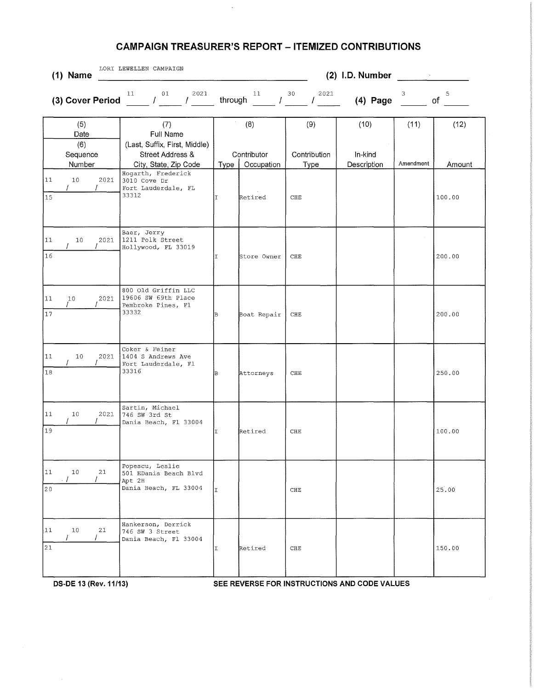$\lambda$ 

| LORI LEWELLEN CAMPAIGN<br>(2) I.D. Number<br>$(1)$ Name<br>$\mathcal{L}_{\text{max}}$ and $\mathcal{L}_{\text{max}}$ . The second state $\mathcal{L}_{\text{max}}$ |                                                                                    |         |                     |                        |                 |           |         |
|--------------------------------------------------------------------------------------------------------------------------------------------------------------------|------------------------------------------------------------------------------------|---------|---------------------|------------------------|-----------------|-----------|---------|
| (3) Cover Period                                                                                                                                                   | 2021<br>11<br>01<br>$\mathcal{L} = \mathcal{L}$<br>$\mathcal{L}$ and $\mathcal{L}$ | through | 11<br>$\mathcal{L}$ | 30<br>2021<br>$\prime$ | $(4)$ Page      | 3         | 5<br>of |
| (5)<br>Date<br>(6)<br>Sequence                                                                                                                                     | (7)<br>Full Name<br>(Last, Suffix, First, Middle)<br>Street Address &              |         | (8)<br>Contributor  | (9)<br>Contribution    | (10)<br>In-kind | (11)      | (12)    |
| Number                                                                                                                                                             | City, State, Zip Code                                                              | Type    | Occupation          | Type                   | Description     | Amendment | Amount  |
| 11<br>10 <sub>1</sub><br>2021<br>$\vert_{15}$                                                                                                                      | Hogarth, Frederick<br>3010 Cove Dr<br>Fort Lauderdale, FL<br>33312                 | II.     | Retired             | CHE                    |                 |           | 100.00  |
| 11<br>2021<br>10<br>16                                                                                                                                             | Baer, Jerry<br>1211 Polk Street<br>Hollywood, FL 33019                             | T       | Store Owner         | CHE                    |                 |           | 200.00  |
| 11<br>10<br>2021<br>$\overline{17}$                                                                                                                                | 800 Old Griffin LLC<br>19606 SW 69th Place<br>Pembroke Pines, Fl<br>33332          | в       | Boat Repair         | CHE                    |                 |           | 200.00  |
| 11<br>10<br>2021<br>18                                                                                                                                             | Coker & Feiner<br>1404 S Andrews Ave<br>Fort Lauderdale, Fl<br>33316               | ÌВ.     | Attorneys           | ${\rm CHE}$            |                 |           | 250.00  |
| 11<br>10<br>2021<br>19                                                                                                                                             | Sartin, Michael<br>746 SW 3rd St<br>Dania Beach, Fl 33004                          | lT.     | Retired             | CHE                    |                 |           | 100.00  |
| 11<br>10<br>21<br>. 1<br>$\overline{20}$                                                                                                                           | Popescu, Leslie<br>501 EDania Beach Blvd<br>Apt 2H<br>Dania Beach, FL 33004        | lı.     |                     | CHE                    |                 |           | 25,00   |
| 11<br>10<br>21<br>$ _{21}$                                                                                                                                         | Hankerson, Derrick<br>746 SW 3 Street<br>Dania Beach, Fl 33004                     | IΙ      | Retired             | CHE                    |                 |           | 150.00  |

**OS-DE 13 (Rev. 11/13) SEE REVERSE FOR INSTRUCTIONS AND CODE VALUES**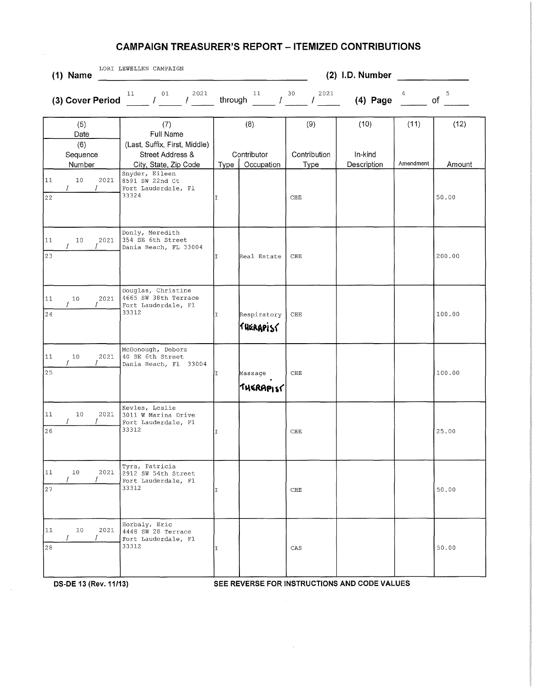| LORI LEWELLEN CAMPAIGN<br>$(1)$ Name     | (2) I.D. Number                                                                                |         |                                  |                             |                                |                   |                |
|------------------------------------------|------------------------------------------------------------------------------------------------|---------|----------------------------------|-----------------------------|--------------------------------|-------------------|----------------|
| (3) Cover Period                         | 2021<br>11<br>01<br>$\prime$<br>$\mathcal{L}$                                                  | through | 11<br>L                          | 30<br>2021                  | $(4)$ Page                     |                   | 5<br>of        |
| (5)<br>Date<br>(6)<br>Sequence<br>Number | (7)<br>Full Name<br>(Last, Suffix, First, Middle)<br>Street Address &<br>City, State, Zip Code | Type    | (8)<br>Contributor<br>Occupation | (9)<br>Contribution<br>Type | (10)<br>In-kind<br>Description | (11)<br>Amendment | (12)<br>Amount |
| 11<br>10<br>2021<br>$\prime$<br>22       | Snyder, Eileen<br>8591 SW 22nd Ct<br>Fort Lauderdale, Fl<br>33324                              | I       |                                  | ${\rm CHE}$                 |                                |                   | 50.00          |
| 11<br>2021<br>10<br>23                   | Donly, Meredith<br>354 SE 6th Street<br>Dania Beach, FL 33004                                  | II.     | Real Estate                      | CHE                         |                                |                   | 200.00         |
| $11$<br>10<br>2021<br>24                 | Douglas, Christine<br>4665 SW 38th Terrace<br>Fort Lauderdale, Fl<br>33312                     | lτ      | Respiratory<br>furrapise         | CHE                         |                                |                   | 100.00         |
| 11<br>2021<br>10<br>25                   | McDonough, Debora<br>40 SE 6th Street<br>Dania Beach, Fl 33004                                 | II.     | Massage<br><b>THERAPIST</b>      | CHE                         |                                |                   | 100.00         |
| 11<br>10<br>2021<br>26                   | Kevles, Leslie<br>3011 W Marina Drive<br>Fort Lauderdale, Fl<br>33312                          | II.     |                                  | CHE                         |                                |                   | 25.00          |
| 11<br>10<br>2021<br>27                   | Tyra, Patricia<br>2912 SW 54th Street<br>Fort Lauderdale, Fl<br>33312                          | T       |                                  | ${\rm CHE}$                 |                                |                   | 50.00          |
| 11<br>10<br>2021<br>28                   | Horbaly, Eric<br>4448 SW 28 Terrace<br>Fort Lauderdale, Fl<br>33312                            | I       |                                  | CAS                         |                                |                   | 50.00          |

 $\sim$ 

 $\sim$ 

**DS-DE 13 (Rev. 11/13) SEE REVERSE FOR INSTRUCTIONS AND CODE VALUES** 

 $\bar{\mathcal{A}}$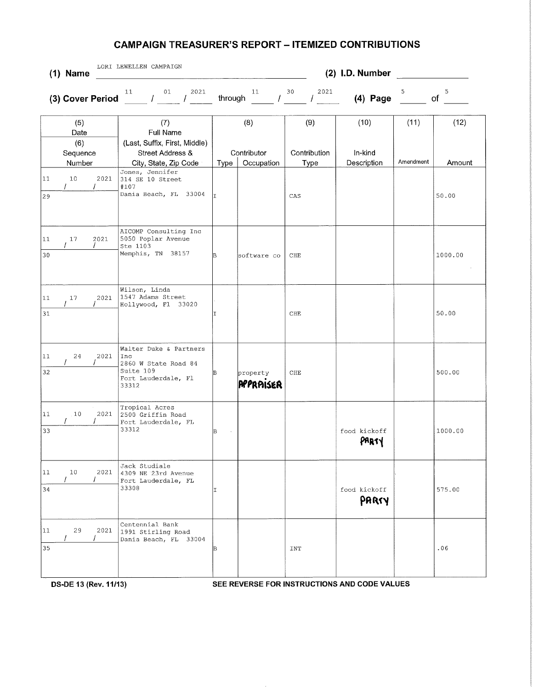|                              | $(1)$ Name                               | LORI LEWELLEN CAMPAIGN                                                                                            | (2) I.D. Number |                                  |                             |                                |                   |                |  |  |
|------------------------------|------------------------------------------|-------------------------------------------------------------------------------------------------------------------|-----------------|----------------------------------|-----------------------------|--------------------------------|-------------------|----------------|--|--|
|                              | (3) Cover Period                         | 2021<br>11<br>01<br>$\mathcal{L}$<br>$\mathcal{L}$                                                                | through         | 11<br>$\prime$                   | 2021<br>30<br>T             | $(4)$ Page                     | 5                 | 5<br>of        |  |  |
|                              | (5)<br>Date<br>(6)<br>Sequence<br>Number | (7)<br>Full Name<br>(Last, Suffix, First, Middle)<br>Street Address &<br>City, State, Zip Code<br>Jones, Jennifer | Type            | (8)<br>Contributor<br>Occupation | (9)<br>Contribution<br>Type | (10)<br>In-kind<br>Description | (11)<br>Amendment | (12)<br>Amount |  |  |
| $ 11\rangle$<br>$ 29\rangle$ | 10 <sup>°</sup><br>2021<br>T             | 314 SE 10 Street<br>#107<br>Dania Beach, FL 33004                                                                 | lт.             |                                  | CAS                         |                                |                   | 50.00          |  |  |
| 11<br>30                     | 2021<br>17                               | AICOMP Consulting Inc<br>5050 Poplar Avenue<br>Ste 1103<br>Memphis, TN 38157                                      | lB.             | software co                      | CHE                         |                                |                   | 1000.00        |  |  |
| 11<br>31                     | 17<br>2021                               | Wilson, Linda<br>1547 Adams Street<br>Hollywood, Fl 33020                                                         | T               |                                  | CHE                         |                                |                   | 50.00          |  |  |
| 11<br>32                     | 2021<br>24                               | Walter Duke & Partners<br>Inc<br>2860 W State Road 84<br>Suite 109<br>Fort Lauderdale, Fl<br>33312                | в               | property<br>PPPRAISER            | ${\rm CHE}$                 |                                |                   | 500.00         |  |  |
| 11<br>33                     | 10<br>2021<br>7                          | Tropical Acres<br>2500 Griffin Road<br>Fort Lauderdale, FL<br>33312                                               | B               |                                  |                             | food kickoff                   |                   | 1000.00        |  |  |
| 11<br>34                     | 2021<br>10 <sup>°</sup>                  | Jack Studiale<br>4309 NE 23rd Avenue<br>Fort Lauderdale, FL<br>33308                                              | T.              |                                  |                             | food kickoff<br>PARTY          |                   | 575.00         |  |  |
| 11<br>35                     | 29<br>2021                               | Centennial Bank<br>1991 Stirling Road<br>Dania Beach, FL 33004                                                    | lB.             |                                  | INT                         |                                |                   | .06            |  |  |

**DS-DE 13 (Rev. 11/13) SEE REVERSE FOR INSTRUCTIONS AND CODE VALUES**